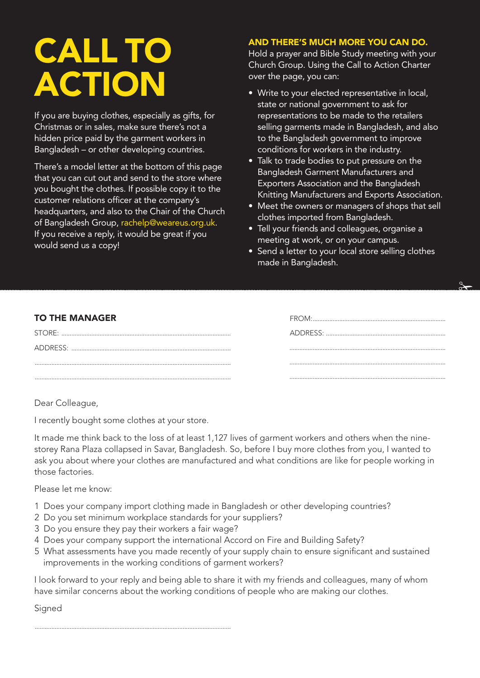## **CALL TO ACTION**

If you are buying clothes, especially as gifts, for Christmas or in sales, make sure there's not a hidden price paid by the garment workers in Bangladesh – or other developing countries.

There's a model letter at the bottom of this page that you can cut out and send to the store where you bought the clothes. If possible copy it to the customer relations officer at the company's headquarters, and also to the Chair of the Church of Bangladesh Group, rachelp@weareus.org.uk. If you receive a reply, it would be great if you would send us a copy!

## **AND THERE'S MUCH MORE YOU CAN DO.**

Hold a prayer and Bible Study meeting with your Church Group. Using the Call to Action Charter over the page, you can:

- Write to your elected representative in local, state or national government to ask for representations to be made to the retailers selling garments made in Bangladesh, and also to the Bangladesh government to improve conditions for workers in the industry.
- Talk to trade bodies to put pressure on the Bangladesh Garment Manufacturers and Exporters Association and the Bangladesh Knitting Manufacturers and Exports Association.
- Meet the owners or managers of shops that sell clothes imported from Bangladesh.
- Tell your friends and colleagues, organise a meeting at work, or on your campus.
- Send a letter to your local store selling clothes made in Bangladesh.

FROM:................................................................................

 $\frac{8}{10}$ 

## **TO THE MANAGER**

| STORE:   | ADDRESS: |
|----------|----------|
| ADDRESS: |          |
|          |          |
|          |          |

Dear Colleague,

I recently bought some clothes at your store.

It made me think back to the loss of at least 1,127 lives of garment workers and others when the ninestorey Rana Plaza collapsed in Savar, Bangladesh. So, before I buy more clothes from you, I wanted to ask you about where your clothes are manufactured and what conditions are like for people working in those factories.

Please let me know:

- 1 Does your company import clothing made in Bangladesh or other developing countries?
- 2 Do you set minimum workplace standards for your suppliers?
- 3 Do you ensure they pay their workers a fair wage?
- 4 Does your company support the international Accord on Fire and Building Safety?
- 5 What assessments have you made recently of your supply chain to ensure significant and sustained improvements in the working conditions of garment workers?

I look forward to your reply and being able to share it with my friends and colleagues, many of whom have similar concerns about the working conditions of people who are making our clothes.

Signed

......................................................................................................................